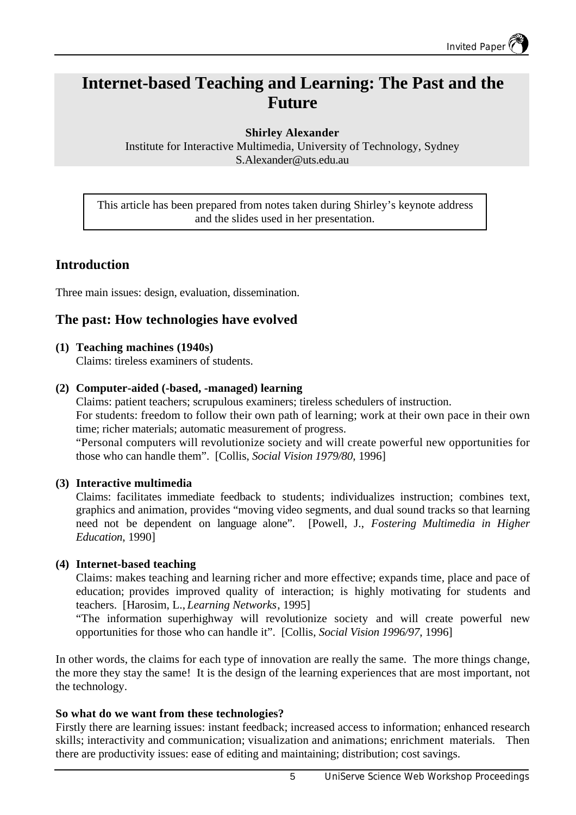# **Internet-based Teaching and Learning: The Past and the Future**

**Shirley Alexander**

Institute for Interactive Multimedia, University of Technology, Sydney S.Alexander@uts.edu.au

This article has been prepared from notes taken during Shirley's keynote address and the slides used in her presentation.

# **Introduction**

Three main issues: design, evaluation, dissemination.

# **The past: How technologies have evolved**

**(1) Teaching machines (1940s)**

Claims: tireless examiners of students.

### **(2) Computer-aided (-based, -managed) learning**

Claims: patient teachers; scrupulous examiners; tireless schedulers of instruction. For students: freedom to follow their own path of learning; work at their own pace in their own time; richer materials; automatic measurement of progress.

"Personal computers will revolutionize society and will create powerful new opportunities for those who can handle them". [Collis, *Social Vision 1979/80*, 1996]

## **(3) Interactive multimedia**

Claims: facilitates immediate feedback to students; individualizes instruction; combines text, graphics and animation, provides "moving video segments, and dual sound tracks so that learning need not be dependent on language alone". [Powell, J., *Fostering Multimedia in Higher Education*, 1990]

#### **(4) Internet-based teaching**

Claims: makes teaching and learning richer and more effective; expands time, place and pace of education; provides improved quality of interaction; is highly motivating for students and teachers. [Harosim, L., *Learning Networks*, 1995]

"The information superhighway will revolutionize society and will create powerful new opportunities for those who can handle it". [Collis, *Social Vision 1996/97*, 1996]

In other words, the claims for each type of innovation are really the same. The more things change, the more they stay the same! It is the design of the learning experiences that are most important, not the technology.

## **So what do we want from these technologies?**

Firstly there are learning issues: instant feedback; increased access to information; enhanced research skills; interactivity and communication; visualization and animations; enrichment materials. Then there are productivity issues: ease of editing and maintaining; distribution; cost savings.